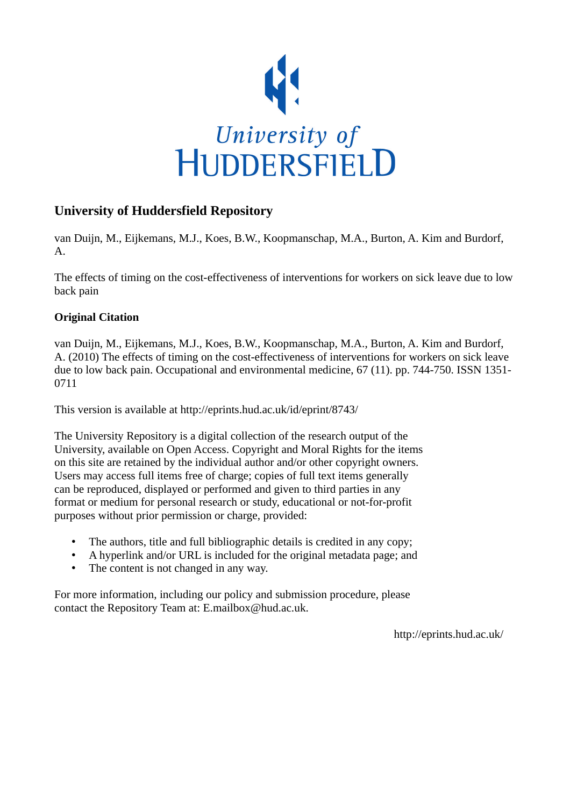

# **University of Huddersfield Repository**

van Duijn, M., Eijkemans, M.J., Koes, B.W., Koopmanschap, M.A., Burton, A. Kim and Burdorf, A.

The effects of timing on the cost-effectiveness of interventions for workers on sick leave due to low back pain

# **Original Citation**

van Duijn, M., Eijkemans, M.J., Koes, B.W., Koopmanschap, M.A., Burton, A. Kim and Burdorf, A. (2010) The effects of timing on the cost-effectiveness of interventions for workers on sick leave due to low back pain. Occupational and environmental medicine, 67 (11). pp. 744-750. ISSN 1351- 0711

This version is available at http://eprints.hud.ac.uk/id/eprint/8743/

The University Repository is a digital collection of the research output of the University, available on Open Access. Copyright and Moral Rights for the items on this site are retained by the individual author and/or other copyright owners. Users may access full items free of charge; copies of full text items generally can be reproduced, displayed or performed and given to third parties in any format or medium for personal research or study, educational or not-for-profit purposes without prior permission or charge, provided:

- The authors, title and full bibliographic details is credited in any copy;
- A hyperlink and/or URL is included for the original metadata page; and
- The content is not changed in any way.

For more information, including our policy and submission procedure, please contact the Repository Team at: E.mailbox@hud.ac.uk.

http://eprints.hud.ac.uk/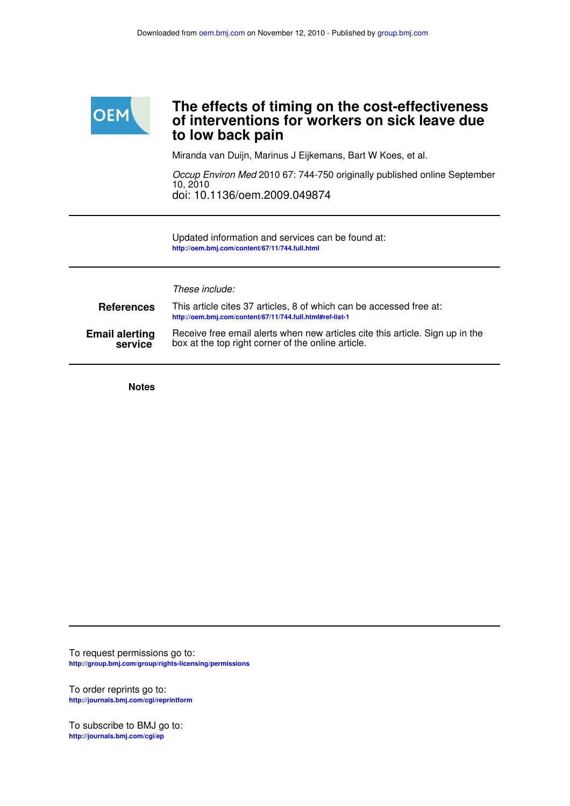

# **to low back pain of interventions for workers on sick leave due The effects of timing on the cost-effectiveness**

Miranda van Duijn, Marinus J Eijkemans, Bart W Koes, et al.

doi: 10.1136/oem.2009.049874 10, 2010 Occup Environ Med 2010 67: 744-750 originally published online September

**http://oem.bmj.com/content/67/11/744.full.html** Updated information and services can be found at:

These include:

| <b>References</b>     | This article cites 37 articles, 8 of which can be accessed free at:<br>http://oem.bmj.com/content/67/11/744.full.html#ref-list-1 |  |  |  |  |  |
|-----------------------|----------------------------------------------------------------------------------------------------------------------------------|--|--|--|--|--|
| <b>Email alerting</b> | Receive free email alerts when new articles cite this article. Sign up in the                                                    |  |  |  |  |  |
| service               | box at the top right corner of the online article.                                                                               |  |  |  |  |  |

**Notes**

**http://group.bmj.com/group/rights-licensing/permissions** To request permissions go to:

**http://journals.bmj.com/cgi/reprintform** To order reprints go to:

**http://journals.bmj.com/cgi/ep** To subscribe to BMJ go to: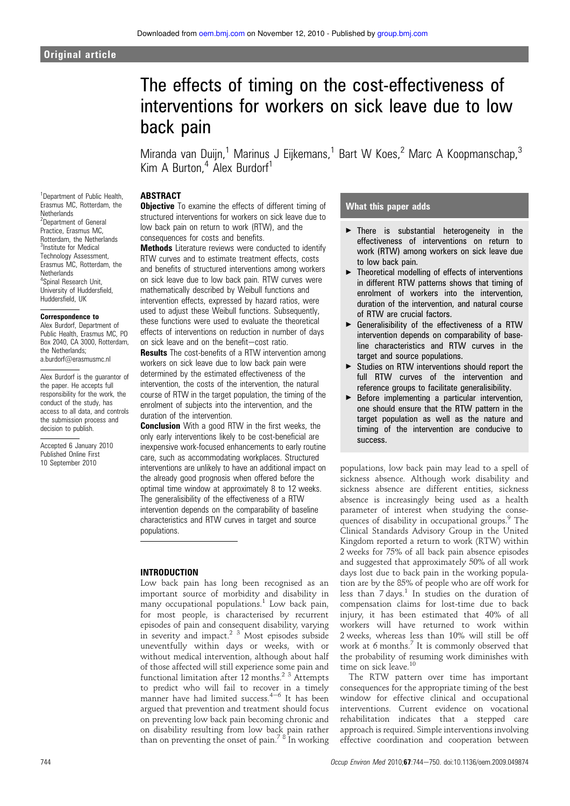# The effects of timing on the cost-effectiveness of interventions for workers on sick leave due to low back pain

Miranda van Duijn,<sup>1</sup> Marinus J Eijkemans,<sup>1</sup> Bart W Koes,<sup>2</sup> Marc A Koopmanschap,<sup>3</sup> Kim A Burton,<sup>4</sup> Alex Burdorf<sup>1</sup>

## ABSTRACT

<sup>1</sup>Department of Public Health, Erasmus MC, Rotterdam, the **Netherlands** <sup>2</sup>Department of General Practice, Erasmus MC, Rotterdam, the Netherlands <sup>3</sup>Institute for Medical Technology Assessment, Erasmus MC, Rotterdam, the Netherlands 4 Spinal Research Unit, University of Huddersfield, Huddersfield, UK

#### Correspondence to

Alex Burdorf, Department of Public Health, Erasmus MC, PO Box 2040, CA 3000, Rotterdam, the Netherlands; a.burdorf@erasmusmc.nl

Alex Burdorf is the guarantor of the paper. He accepts full responsibility for the work, the conduct of the study, has access to all data, and controls the submission process and decision to publish.

Accepted 6 January 2010 Published Online First 10 September 2010

**Objective** To examine the effects of different timing of structured interventions for workers on sick leave due to low back pain on return to work (RTW), and the consequences for costs and benefits.

Methods Literature reviews were conducted to identify RTW curves and to estimate treatment effects, costs and benefits of structured interventions among workers on sick leave due to low back pain. RTW curves were mathematically described by Weibull functions and intervention effects, expressed by hazard ratios, were used to adjust these Weibull functions. Subsequently, these functions were used to evaluate the theoretical effects of interventions on reduction in number of days on sick leave and on the benefit-cost ratio.

Results The cost-benefits of a RTW intervention among workers on sick leave due to low back pain were determined by the estimated effectiveness of the intervention, the costs of the intervention, the natural course of RTW in the target population, the timing of the enrolment of subjects into the intervention, and the duration of the intervention.

**Conclusion** With a good RTW in the first weeks, the only early interventions likely to be cost-beneficial are inexpensive work-focused enhancements to early routine care, such as accommodating workplaces. Structured interventions are unlikely to have an additional impact on the already good prognosis when offered before the optimal time window at approximately 8 to 12 weeks. The generalisibility of the effectiveness of a RTW intervention depends on the comparability of baseline characteristics and RTW curves in target and source populations.

#### INTRODUCTION

Low back pain has long been recognised as an important source of morbidity and disability in many occupational populations.<sup>1</sup> Low back pain, for most people, is characterised by recurrent episodes of pain and consequent disability, varying in severity and impact.<sup>2</sup> <sup>3</sup> Most episodes subside uneventfully within days or weeks, with or without medical intervention, although about half of those affected will still experience some pain and functional limitation after  $12$  months.<sup>2</sup><sup>3</sup> Attempts to predict who will fail to recover in a timely manner have had limited success. $4-6$  It has been argued that prevention and treatment should focus on preventing low back pain becoming chronic and on disability resulting from low back pain rather than on preventing the onset of pain.<sup>78</sup> In working

# What this paper adds

- $\triangleright$  There is substantial heterogeneity in the effectiveness of interventions on return to work (RTW) among workers on sick leave due to low back pain.
- $\blacktriangleright$  Theoretical modelling of effects of interventions in different RTW patterns shows that timing of enrolment of workers into the intervention, duration of the intervention, and natural course of RTW are crucial factors.
- $\triangleright$  Generalisibility of the effectiveness of a RTW intervention depends on comparability of baseline characteristics and RTW curves in the target and source populations.
- Studies on RTW interventions should report the full RTW curves of the intervention and reference groups to facilitate generalisibility.
- $\blacktriangleright$  Before implementing a particular intervention, one should ensure that the RTW pattern in the target population as well as the nature and timing of the intervention are conducive to success.

populations, low back pain may lead to a spell of sickness absence. Although work disability and sickness absence are different entities, sickness absence is increasingly being used as a health parameter of interest when studying the consequences of disability in occupational groups.<sup>9</sup> The Clinical Standards Advisory Group in the United Kingdom reported a return to work (RTW) within 2 weeks for 75% of all back pain absence episodes and suggested that approximately 50% of all work days lost due to back pain in the working population are by the 85% of people who are off work for less than  $7$  days.<sup>1</sup> In studies on the duration of compensation claims for lost-time due to back injury, it has been estimated that 40% of all workers will have returned to work within 2 weeks, whereas less than 10% will still be off work at 6 months. $^7$  It is commonly observed that the probability of resuming work diminishes with time on sick leave.<sup>10</sup>

The RTW pattern over time has important consequences for the appropriate timing of the best window for effective clinical and occupational interventions. Current evidence on vocational rehabilitation indicates that a stepped care approach is required. Simple interventions involving effective coordination and cooperation between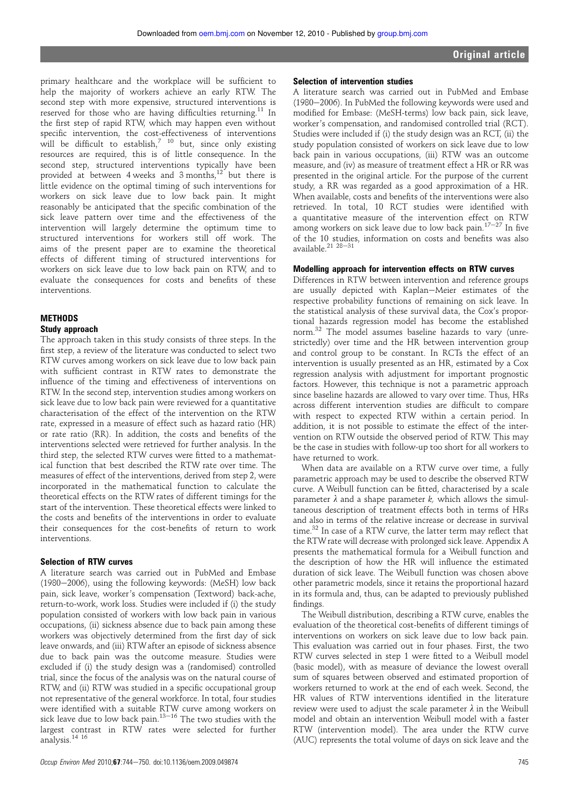primary healthcare and the workplace will be sufficient to help the majority of workers achieve an early RTW. The second step with more expensive, structured interventions is reserved for those who are having difficulties returning.<sup>11</sup> In the first step of rapid RTW, which may happen even without specific intervention, the cost-effectiveness of interventions will be difficult to establish,<sup>7</sup> <sup>10</sup> but, since only existing resources are required, this is of little consequence. In the second step, structured interventions typically have been provided at between 4 weeks and  $3$  months.<sup>12</sup> but there is little evidence on the optimal timing of such interventions for workers on sick leave due to low back pain. It might reasonably be anticipated that the specific combination of the sick leave pattern over time and the effectiveness of the intervention will largely determine the optimum time to structured interventions for workers still off work. The aims of the present paper are to examine the theoretical effects of different timing of structured interventions for workers on sick leave due to low back pain on RTW, and to evaluate the consequences for costs and benefits of these interventions.

## **METHODS** Study approach

The approach taken in this study consists of three steps. In the first step, a review of the literature was conducted to select two RTW curves among workers on sick leave due to low back pain with sufficient contrast in RTW rates to demonstrate the influence of the timing and effectiveness of interventions on RTW. In the second step, intervention studies among workers on sick leave due to low back pain were reviewed for a quantitative characterisation of the effect of the intervention on the RTW rate, expressed in a measure of effect such as hazard ratio (HR) or rate ratio (RR). In addition, the costs and benefits of the interventions selected were retrieved for further analysis. In the third step, the selected RTW curves were fitted to a mathematical function that best described the RTW rate over time. The measures of effect of the interventions, derived from step 2, were incorporated in the mathematical function to calculate the theoretical effects on the RTW rates of different timings for the start of the intervention. These theoretical effects were linked to the costs and benefits of the interventions in order to evaluate their consequences for the cost-benefits of return to work interventions.

## Selection of RTW curves

A literature search was carried out in PubMed and Embase (1980-2006), using the following keywords: (MeSH) low back pain, sick leave, worker's compensation (Textword) back-ache, return-to-work, work loss. Studies were included if (i) the study population consisted of workers with low back pain in various occupations, (ii) sickness absence due to back pain among these workers was objectively determined from the first day of sick leave onwards, and (iii) RTW after an episode of sickness absence due to back pain was the outcome measure. Studies were excluded if (i) the study design was a (randomised) controlled trial, since the focus of the analysis was on the natural course of RTW, and (ii) RTW was studied in a specific occupational group not representative of the general workforce. In total, four studies were identified with a suitable RTW curve among workers on sick leave due to low back pain. $13-16$  The two studies with the largest contrast in RTW rates were selected for further analysis.14 16

#### Selection of intervention studies

A literature search was carried out in PubMed and Embase (1980-2006). In PubMed the following keywords were used and modified for Embase: (MeSH-terms) low back pain, sick leave, worker's compensation, and randomised controlled trial (RCT). Studies were included if (i) the study design was an RCT, (ii) the study population consisted of workers on sick leave due to low back pain in various occupations, (iii) RTW was an outcome measure, and (iv) as measure of treatment effect a HR or RR was presented in the original article. For the purpose of the current study, a RR was regarded as a good approximation of a HR. When available, costs and benefits of the interventions were also retrieved. In total, 10 RCT studies were identified with a quantitative measure of the intervention effect on RTW among workers on sick leave due to low back pain.<sup>17-27</sup> In five of the 10 studies, information on costs and benefits was also available. $21$   $28-31$ 

#### Modelling approach for intervention effects on RTW curves

Differences in RTW between intervention and reference groups are usually depicted with Kaplan-Meier estimates of the respective probability functions of remaining on sick leave. In the statistical analysis of these survival data, the Cox's proportional hazards regression model has become the established norm.<sup>32</sup> The model assumes baseline hazards to vary (unrestrictedly) over time and the HR between intervention group and control group to be constant. In RCTs the effect of an intervention is usually presented as an HR, estimated by a Cox regression analysis with adjustment for important prognostic factors. However, this technique is not a parametric approach since baseline hazards are allowed to vary over time. Thus, HRs across different intervention studies are difficult to compare with respect to expected RTW within a certain period. In addition, it is not possible to estimate the effect of the intervention on RTW outside the observed period of RTW. This may be the case in studies with follow-up too short for all workers to have returned to work.

When data are available on a RTW curve over time, a fully parametric approach may be used to describe the observed RTW curve. A Weibull function can be fitted, characterised by a scale parameter  $\lambda$  and a shape parameter k, which allows the simultaneous description of treatment effects both in terms of HRs and also in terms of the relative increase or decrease in survival time.<sup>32</sup> In case of a RTW curve, the latter term may reflect that the RTW rate will decrease with prolonged sick leave. Appendix A presents the mathematical formula for a Weibull function and the description of how the HR will influence the estimated duration of sick leave. The Weibull function was chosen above other parametric models, since it retains the proportional hazard in its formula and, thus, can be adapted to previously published findings.

The Weibull distribution, describing a RTW curve, enables the evaluation of the theoretical cost-benefits of different timings of interventions on workers on sick leave due to low back pain. This evaluation was carried out in four phases. First, the two RTW curves selected in step 1 were fitted to a Weibull model (basic model), with as measure of deviance the lowest overall sum of squares between observed and estimated proportion of workers returned to work at the end of each week. Second, the HR values of RTW interventions identified in the literature review were used to adjust the scale parameter  $\lambda$  in the Weibull model and obtain an intervention Weibull model with a faster RTW (intervention model). The area under the RTW curve (AUC) represents the total volume of days on sick leave and the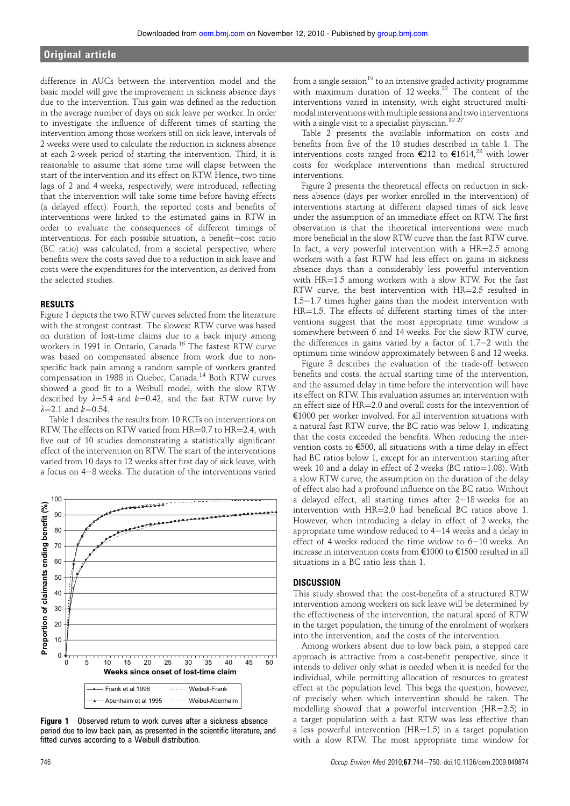# Original article

difference in AUCs between the intervention model and the basic model will give the improvement in sickness absence days due to the intervention. This gain was defined as the reduction in the average number of days on sick leave per worker. In order to investigate the influence of different times of starting the intervention among those workers still on sick leave, intervals of 2 weeks were used to calculate the reduction in sickness absence at each 2-week period of starting the intervention. Third, it is reasonable to assume that some time will elapse between the start of the intervention and its effect on RTW. Hence, two time lags of 2 and 4 weeks, respectively, were introduced, reflecting that the intervention will take some time before having effects (a delayed effect). Fourth, the reported costs and benefits of interventions were linked to the estimated gains in RTW in order to evaluate the consequences of different timings of interventions. For each possible situation, a benefit-cost ratio (BC ratio) was calculated, from a societal perspective, where benefits were the costs saved due to a reduction in sick leave and costs were the expenditures for the intervention, as derived from the selected studies.

#### RESULTS

Figure 1 depicts the two RTW curves selected from the literature with the strongest contrast. The slowest RTW curve was based on duration of lost-time claims due to a back injury among workers in 1991 in Ontario, Canada.<sup>16</sup> The fastest RTW curve was based on compensated absence from work due to nonspecific back pain among a random sample of workers granted compensation in 1988 in Quebec, Canada.<sup>14</sup> Both RTW curves showed a good fit to a Weibull model, with the slow RTW described by  $\lambda=5.4$  and  $k=0.42$ , and the fast RTW curve by  $\lambda = 2.1$  and  $k = 0.54$ .

Table 1 describes the results from 10 RCTs on interventions on RTW. The effects on RTW varied from  $HR=0.7$  to  $HR=2.4$ , with five out of 10 studies demonstrating a statistically significant effect of the intervention on RTW. The start of the interventions varied from 10 days to 12 weeks after first day of sick leave, with a focus on 4-8 weeks. The duration of the interventions varied



Figure 1 Observed return to work curves after a sickness absence period due to low back pain, as presented in the scientific literature, and fitted curves according to a Weibull distribution.

from a single session $^{19}$  to an intensive graded activity programme with maximum duration of 12 weeks.<sup>22</sup> The content of the interventions varied in intensity, with eight structured multimodal interventions with multiple sessions and two interventions with a single visit to a specialist physician.<sup>1927</sup>

Table 2 presents the available information on costs and benefits from five of the 10 studies described in table 1. The interventions costs ranged from €212 to €1614,<sup>28</sup> with lower costs for workplace interventions than medical structured interventions.

Figure 2 presents the theoretical effects on reduction in sickness absence (days per worker enrolled in the intervention) of interventions starting at different elapsed times of sick leave under the assumption of an immediate effect on RTW. The first observation is that the theoretical interventions were much more beneficial in the slow RTW curve than the fast RTW curve. In fact, a very powerful intervention with a  $HR=2.5$  among workers with a fast RTW had less effect on gains in sickness absence days than a considerably less powerful intervention with  $HR=1.5$  among workers with a slow RTW. For the fast RTW curve, the best intervention with  $HR=2.5$  resulted in  $1.5-1.7$  times higher gains than the modest intervention with  $HR=1.5$ . The effects of different starting times of the interventions suggest that the most appropriate time window is somewhere between 6 and 14 weeks. For the slow RTW curve, the differences in gains varied by a factor of  $1.7-2$  with the optimum time window approximately between 8 and 12 weeks.

Figure 3 describes the evaluation of the trade-off between benefits and costs, the actual starting time of the intervention, and the assumed delay in time before the intervention will have its effect on RTW. This evaluation assumes an intervention with an effect size of  $HR=2.0$  and overall costs for the intervention of €1000 per worker involved. For all intervention situations with a natural fast RTW curve, the BC ratio was below 1, indicating that the costs exceeded the benefits. When reducing the intervention costs to €500, all situations with a time delay in effect had BC ratios below 1, except for an intervention starting after week 10 and a delay in effect of 2 weeks (BC ratio= $1.08$ ). With a slow RTW curve, the assumption on the duration of the delay of effect also had a profound influence on the BC ratio. Without a delayed effect, all starting times after  $2-18$  weeks for an intervention with  $HR=2.0$  had beneficial BC ratios above 1. However, when introducing a delay in effect of 2 weeks, the appropriate time window reduced to  $4-14$  weeks and a delay in effect of 4 weeks reduced the time widow to  $6-10$  weeks. An increase in intervention costs from €1000 to €1500 resulted in all situations in a BC ratio less than 1.

#### **DISCUSSION**

This study showed that the cost-benefits of a structured RTW intervention among workers on sick leave will be determined by the effectiveness of the intervention, the natural speed of RTW in the target population, the timing of the enrolment of workers into the intervention, and the costs of the intervention.

Among workers absent due to low back pain, a stepped care approach is attractive from a cost-benefit perspective, since it intends to deliver only what is needed when it is needed for the individual, while permitting allocation of resources to greatest effect at the population level. This begs the question, however, of precisely when which intervention should be taken. The modelling showed that a powerful intervention ( $HR=2.5$ ) in a target population with a fast RTW was less effective than a less powerful intervention ( $HR=1.5$ ) in a target population with a slow RTW. The most appropriate time window for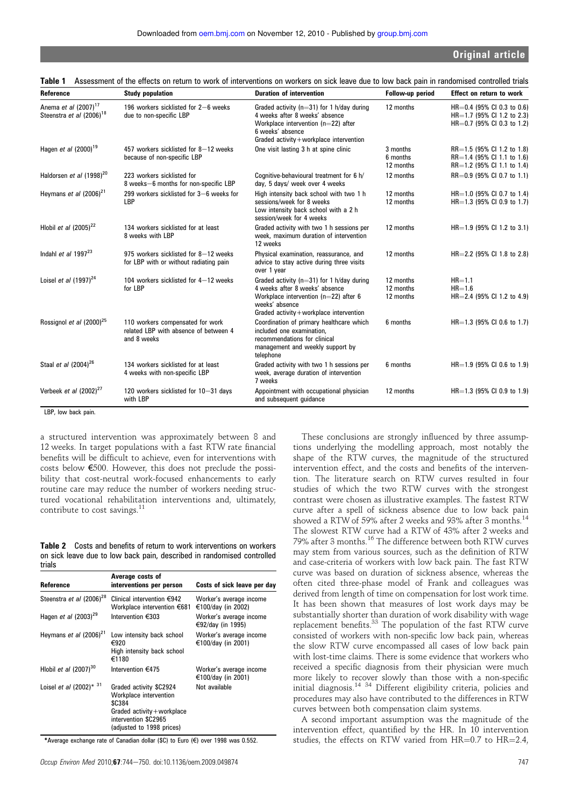| Reference                                                                | <b>Study population</b>                                                                                                                                                                                                                            | <b>Duration of intervention</b>                                                                                                                                                      | Follow-up period                    | <b>Effect on return to work</b>                                                              |
|--------------------------------------------------------------------------|----------------------------------------------------------------------------------------------------------------------------------------------------------------------------------------------------------------------------------------------------|--------------------------------------------------------------------------------------------------------------------------------------------------------------------------------------|-------------------------------------|----------------------------------------------------------------------------------------------|
| Anema et al (2007) <sup>17</sup><br>Steenstra et al (2006) <sup>18</sup> | 196 workers sicklisted for 2-6 weeks<br>due to non-specific LBP                                                                                                                                                                                    | Graded activity ( $n=31$ ) for 1 h/day during<br>4 weeks after 8 weeks' absence<br>Workplace intervention (n=22) after<br>6 weeks' absence<br>Graded activity+workplace intervention | 12 months                           | $HR=0.4$ (95% CI 0.3 to 0.6)<br>$HR=1.7$ (95% CI 1.2 to 2.3)<br>$HR=0.7$ (95% CI 0.3 to 1.2) |
| Hagen et al $(2000)^{19}$                                                | 457 workers sicklisted for 8-12 weeks<br>because of non-specific LBP                                                                                                                                                                               | One visit lasting 3 h at spine clinic                                                                                                                                                | 3 months<br>6 months<br>12 months   | $RR=1.5$ (95% CI 1.2 to 1.8)<br>$RR=1.4$ (95% CI 1.1 to 1.6)<br>$RR=1.2$ (95% CI 1.1 to 1.4) |
| Haldorsen et al (1998) <sup>20</sup>                                     | 223 workers sicklisted for<br>8 weeks-6 months for non-specific LBP                                                                                                                                                                                | Cognitive-behavioural treatment for 6 h/<br>day, 5 days/ week over 4 weeks                                                                                                           | 12 months                           | $RR=0.9$ (95% CI 0.7 to 1.1)                                                                 |
| Heymans et al $(2006)^{21}$                                              | 299 workers sicklisted for 3-6 weeks for<br><b>LBP</b>                                                                                                                                                                                             | High intensity back school with two 1 h<br>sessions/week for 8 weeks<br>Low intensity back school with a 2 h<br>session/week for 4 weeks                                             | 12 months<br>12 months              | HR=1.0 (95% CI 0.7 to 1.4)<br>$HR=1.3$ (95% CI 0.9 to 1.7)                                   |
| Hlobil et al $(2005)^{22}$                                               | 134 workers sicklisted for at least<br>8 weeks with LBP                                                                                                                                                                                            | Graded activity with two 1 h sessions per<br>week, maximum duration of intervention<br>12 weeks                                                                                      | 12 months                           | $HR=1.9$ (95% CI 1.2 to 3.1)                                                                 |
| Indahl et al $1997^{23}$                                                 | 975 workers sicklisted for 8-12 weeks<br>for LBP with or without radiating pain                                                                                                                                                                    | Physical examination, reassurance, and<br>advice to stay active during three visits<br>over 1 year                                                                                   | 12 months                           | $HR = 2.2$ (95% CI 1.8 to 2.8)                                                               |
| Loisel et al $(1997)^{24}$                                               | 104 workers sicklisted for 4-12 weeks<br>for LBP                                                                                                                                                                                                   | Graded activity ( $n=31$ ) for 1 h/day during<br>4 weeks after 8 weeks' absence<br>Workplace intervention (n=22) after 6<br>weeks' absence<br>Graded activity+workplace intervention | 12 months<br>12 months<br>12 months | $HR = 1.1$<br>$HR = 1.6$<br>$HR=2.4$ (95% CI 1.2 to 4.9)                                     |
| Rossignol et al $(2000)^{25}$                                            | 110 workers compensated for work<br>Coordination of primary healthcare which<br>related LBP with absence of between 4<br>included one examination.<br>and 8 weeks<br>recommendations for clinical<br>management and weekly support by<br>telephone |                                                                                                                                                                                      | 6 months                            | $HR=1.3$ (95% CI 0.6 to 1.7)                                                                 |
| Staal et al (2004) <sup>26</sup>                                         | 134 workers sicklisted for at least<br>4 weeks with non-specific LBP                                                                                                                                                                               | Graded activity with two 1 h sessions per<br>week, average duration of intervention<br>7 weeks                                                                                       | 6 months                            | $HR=1.9$ (95% CI 0.6 to 1.9)                                                                 |
| Verbeek et al $(2002)^{27}$<br><b>LOD</b> Louis Reads and the            | 120 workers sicklisted for 10-31 days<br>with LBP                                                                                                                                                                                                  | Appointment with occupational physician<br>and subsequent guidance                                                                                                                   | 12 months                           | $HR=1.3$ (95% CI 0.9 to 1.9)                                                                 |

|  |  | Table 1 Assessment of the effects on return to work of interventions on workers on sick leave due to low back pain in randomised controlled trials |  |  |  |  |  |  |  |  |  |  |  |
|--|--|----------------------------------------------------------------------------------------------------------------------------------------------------|--|--|--|--|--|--|--|--|--|--|--|
|--|--|----------------------------------------------------------------------------------------------------------------------------------------------------|--|--|--|--|--|--|--|--|--|--|--|

LBP, low back pain.

a structured intervention was approximately between 8 and 12 weeks. In target populations with a fast RTW rate financial benefits will be difficult to achieve, even for interventions with costs below €500. However, this does not preclude the possibility that cost-neutral work-focused enhancements to early routine care may reduce the number of workers needing structured vocational rehabilitation interventions and, ultimately, contribute to cost savings.<sup>11</sup>

Table 2 Costs and benefits of return to work interventions on workers on sick leave due to low back pain, described in randomised controlled trials

| Reference                                  | Average costs of<br>interventions per person                                                                                                             | Costs of sick leave per day                   |
|--------------------------------------------|----------------------------------------------------------------------------------------------------------------------------------------------------------|-----------------------------------------------|
| Steenstra et al (2006) <sup>28</sup>       | Clinical intervention €942<br>Workplace intervention €681                                                                                                | Worker's average income<br>€100/day (in 2002) |
| Hagen et al $(2003)^{29}$                  | Intervention €303                                                                                                                                        | Worker's average income<br>€92/day (in 1995)  |
| Heymans et al $(2006)^{21}$                | Low intensity back school<br>€920<br>High intensity back school<br>€1180                                                                                 | Worker's average income<br>€100/day (in 2001) |
| Hlobil et al $(2007)^{30}$                 | Intervention €475                                                                                                                                        | Worker's average income<br>€100/day (in 2001) |
| Loisel <i>et al</i> (2002) <sup>*</sup> 31 | Graded activity \$C2924<br>Workplace intervention<br><b>\$C384</b><br>Graded $activity + workplace$<br>intervention \$C2965<br>(adjusted to 1998 prices) | Not available                                 |

\*Average exchange rate of Canadian dollar (\$C) to Euro (€) over 1998 was 0.552.

These conclusions are strongly influenced by three assumptions underlying the modelling approach, most notably the shape of the RTW curves, the magnitude of the structured intervention effect, and the costs and benefits of the intervention. The literature search on RTW curves resulted in four studies of which the two RTW curves with the strongest contrast were chosen as illustrative examples. The fastest RTW curve after a spell of sickness absence due to low back pain showed a RTW of 59% after 2 weeks and 93% after 3 months.<sup>14</sup> The slowest RTW curve had a RTW of 43% after 2 weeks and 79% after 3 months.<sup>16</sup> The difference between both RTW curves may stem from various sources, such as the definition of RTW and case-criteria of workers with low back pain. The fast RTW curve was based on duration of sickness absence, whereas the often cited three-phase model of Frank and colleagues was derived from length of time on compensation for lost work time. It has been shown that measures of lost work days may be substantially shorter than duration of work disability with wage replacement benefits.<sup>33</sup> The population of the fast RTW curve consisted of workers with non-specific low back pain, whereas the slow RTW curve encompassed all cases of low back pain with lost-time claims. There is some evidence that workers who received a specific diagnosis from their physician were much more likely to recover slowly than those with a non-specific initial diagnosis.<sup>14 34</sup> Different eligibility criteria, policies and procedures may also have contributed to the differences in RTW curves between both compensation claim systems.

A second important assumption was the magnitude of the intervention effect, quantified by the HR. In 10 intervention studies, the effects on RTW varied from  $HR=0.7$  to  $HR=2.4$ ,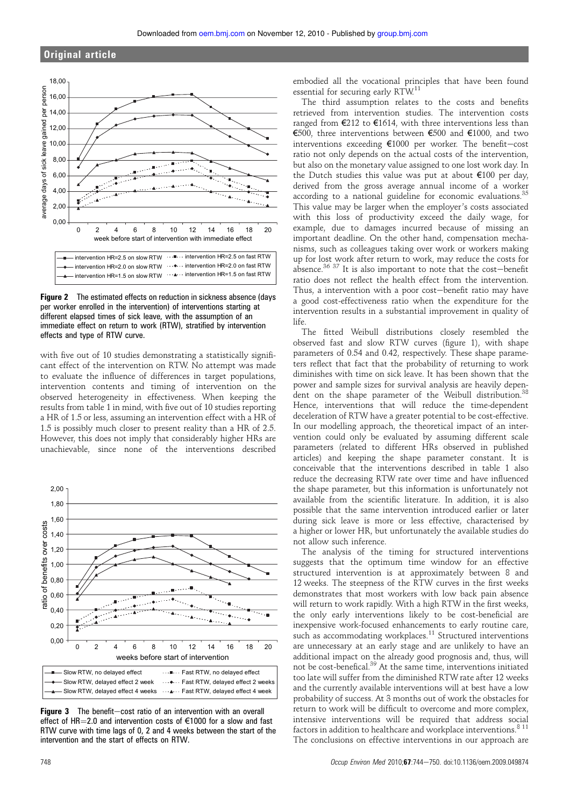# Original article



Figure 2 The estimated effects on reduction in sickness absence (days per worker enrolled in the intervention) of interventions starting at different elapsed times of sick leave, with the assumption of an immediate effect on return to work (RTW), stratified by intervention effects and type of RTW curve.

with five out of 10 studies demonstrating a statistically significant effect of the intervention on RTW. No attempt was made to evaluate the influence of differences in target populations, intervention contents and timing of intervention on the observed heterogeneity in effectiveness. When keeping the results from table 1 in mind, with five out of 10 studies reporting a HR of 1.5 or less, assuming an intervention effect with a HR of 1.5 is possibly much closer to present reality than a HR of 2.5. However, this does not imply that considerably higher HRs are unachievable, since none of the interventions described



Figure  $3$  The benefit-cost ratio of an intervention with an overall effect of HR=2.0 and intervention costs of  $€1000$  for a slow and fast RTW curve with time lags of 0, 2 and 4 weeks between the start of the intervention and the start of effects on RTW.

embodied all the vocational principles that have been found essential for securing early RTW.<sup>11</sup>

The third assumption relates to the costs and benefits retrieved from intervention studies. The intervention costs ranged from €212 to €1614, with three interventions less than €500, three interventions between €500 and €1000, and two interventions exceeding  $€1000$  per worker. The benefit-cost ratio not only depends on the actual costs of the intervention, but also on the monetary value assigned to one lost work day. In the Dutch studies this value was put at about €100 per day, derived from the gross average annual income of a worker according to a national guideline for economic evaluations.<sup>35</sup> This value may be larger when the employer's costs associated with this loss of productivity exceed the daily wage, for example, due to damages incurred because of missing an important deadline. On the other hand, compensation mechanisms, such as colleagues taking over work or workers making up for lost work after return to work, may reduce the costs for absence. $36\,37$  It is also important to note that the cost-benefit ratio does not reflect the health effect from the intervention. Thus, a intervention with a poor cost-benefit ratio may have a good cost-effectiveness ratio when the expenditure for the intervention results in a substantial improvement in quality of life.

The fitted Weibull distributions closely resembled the observed fast and slow RTW curves (figure 1), with shape parameters of 0.54 and 0.42, respectively. These shape parameters reflect that fact that the probability of returning to work diminishes with time on sick leave. It has been shown that the power and sample sizes for survival analysis are heavily dependent on the shape parameter of the Weibull distribution.<sup>38</sup> Hence, interventions that will reduce the time-dependent deceleration of RTW have a greater potential to be cost-effective. In our modelling approach, the theoretical impact of an intervention could only be evaluated by assuming different scale parameters (related to different HRs observed in published articles) and keeping the shape parameter constant. It is conceivable that the interventions described in table 1 also reduce the decreasing RTW rate over time and have influenced the shape parameter, but this information is unfortunately not available from the scientific literature. In addition, it is also possible that the same intervention introduced earlier or later during sick leave is more or less effective, characterised by a higher or lower HR, but unfortunately the available studies do not allow such inference.

The analysis of the timing for structured interventions suggests that the optimum time window for an effective structured intervention is at approximately between 8 and 12 weeks. The steepness of the RTW curves in the first weeks demonstrates that most workers with low back pain absence will return to work rapidly. With a high RTW in the first weeks, the only early interventions likely to be cost-beneficial are inexpensive work-focused enhancements to early routine care, such as accommodating workplaces.<sup>11</sup> Structured interventions are unnecessary at an early stage and are unlikely to have an additional impact on the already good prognosis and, thus, will not be cost-benefical.<sup>39</sup> At the same time, interventions initiated too late will suffer from the diminished RTW rate after 12 weeks and the currently available interventions will at best have a low probability of success. At 3 months out of work the obstacles for return to work will be difficult to overcome and more complex, intensive interventions will be required that address social factors in addition to healthcare and workplace interventions.<sup>8 11</sup> The conclusions on effective interventions in our approach are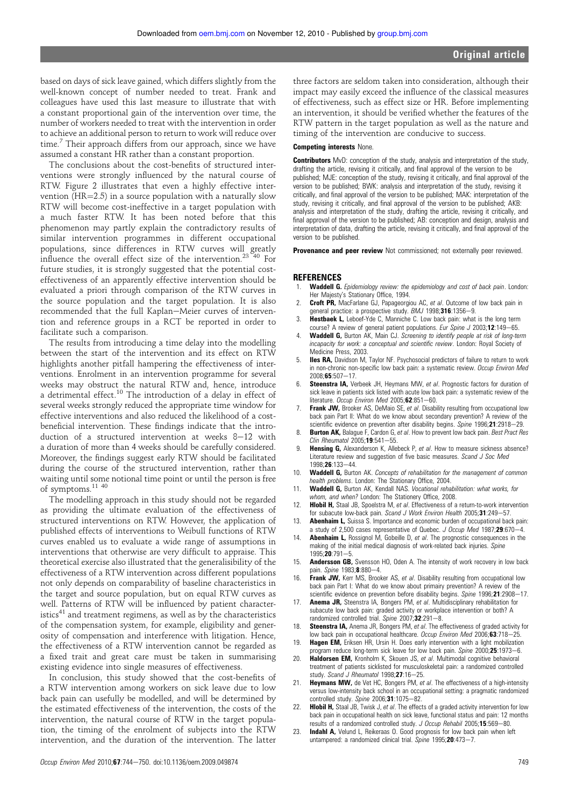based on days of sick leave gained, which differs slightly from the well-known concept of number needed to treat. Frank and colleagues have used this last measure to illustrate that with a constant proportional gain of the intervention over time, the number of workers needed to treat with the intervention in order to achieve an additional person to return to work will reduce over time.<sup>7</sup> Their approach differs from our approach, since we have assumed a constant HR rather than a constant proportion.

The conclusions about the cost-benefits of structured interventions were strongly influenced by the natural course of RTW. Figure 2 illustrates that even a highly effective intervention  $(HR=2.5)$  in a source population with a naturally slow RTW will become cost-ineffective in a target population with a much faster RTW. It has been noted before that this phenomenon may partly explain the contradictory results of similar intervention programmes in different occupational populations, since differences in RTW curves will greatly influence the overall effect size of the intervention.<sup>23</sup><sup>40</sup> For future studies, it is strongly suggested that the potential costeffectiveness of an apparently effective intervention should be evaluated a priori through comparison of the RTW curves in the source population and the target population. It is also recommended that the full Kaplan-Meier curves of intervention and reference groups in a RCT be reported in order to facilitate such a comparison.

The results from introducing a time delay into the modelling between the start of the intervention and its effect on RTW highlights another pitfall hampering the effectiveness of interventions. Enrolment in an intervention programme for several weeks may obstruct the natural RTW and, hence, introduce a detrimental effect.<sup>10</sup> The introduction of a delay in effect of several weeks strongly reduced the appropriate time window for effective interventions and also reduced the likelihood of a costbeneficial intervention. These findings indicate that the introduction of a structured intervention at weeks  $8-12$  with a duration of more than 4 weeks should be carefully considered. Moreover, the findings suggest early RTW should be facilitated during the course of the structured intervention, rather than waiting until some notional time point or until the person is free of symptoms.11 40

The modelling approach in this study should not be regarded as providing the ultimate evaluation of the effectiveness of structured interventions on RTW. However, the application of published effects of interventions to Weibull functions of RTW curves enabled us to evaluate a wide range of assumptions in interventions that otherwise are very difficult to appraise. This theoretical exercise also illustrated that the generalisibility of the effectiveness of a RTW intervention across different populations not only depends on comparability of baseline characteristics in the target and source population, but on equal RTW curves as well. Patterns of RTW will be influenced by patient characteristics $41$  and treatment regimens, as well as by the characteristics of the compensation system, for example, eligibility and generosity of compensation and interference with litigation. Hence, the effectiveness of a RTW intervention cannot be regarded as a fixed trait and great care must be taken in summarising existing evidence into single measures of effectiveness.

In conclusion, this study showed that the cost-benefits of a RTW intervention among workers on sick leave due to low back pain can usefully be modelled, and will be determined by the estimated effectiveness of the intervention, the costs of the intervention, the natural course of RTW in the target population, the timing of the enrolment of subjects into the RTW intervention, and the duration of the intervention. The latter three factors are seldom taken into consideration, although their impact may easily exceed the influence of the classical measures of effectiveness, such as effect size or HR. Before implementing an intervention, it should be verified whether the features of the RTW pattern in the target population as well as the nature and timing of the intervention are conducive to success.

#### Competing interests None.

Contributors MvD: conception of the study, analysis and interpretation of the study, drafting the article, revising it critically, and final approval of the version to be published; MJE: conception of the study, revising it critically, and final approval of the version to be published; BWK: analysis and interpretation of the study, revising it critically, and final approval of the version to be published; MAK: interpretation of the study, revising it critically, and final approval of the version to be published; AKB: analysis and interpretation of the study, drafting the article, revising it critically, and final approval of the version to be published; AB: conception and design, analysis and interpretation of data, drafting the article, revising it critically, and final approval of the version to be published.

Provenance and peer review Not commissioned; not externally peer reviewed.

#### **REFERENCES**

- 1. Waddell G. Epidemiology review: the epidemiology and cost of back pain. London: Her Majesty's Stationary Office, 1994.
- 2. Croft PR, MacFarlane GJ, Papageorgiou AC, et al. Outcome of low back pain in general practice: a prospective study. BMJ 1998;316:1356-9.
- 3. **Hestbaek L,** Leboef-Yde C, Manniche C. Low back pain: what is the long term course? A review of general patient populations. Eur Spine J 2003;12:149-65.
- Waddell G, Burton AK, Main CJ. Screening to identify people at risk of long-term incapacity for work: a conceptual and scientific review. London: Royal Society of Medicine Press, 2003.
- Iles RA, Davidson M, Taylor NF. Psychosocial predictors of failure to return to work in non-chronic non-specific low back pain: a systematic review. Occup Environ Med 2008;65:507-17.
- Steenstra IA, Verbeek JH, Heymans MW, et al. Prognostic factors for duration of sick leave in patients sick listed with acute low back pain: a systematic review of the literature. Occup Environ Med 2005;62:851-60.
- Frank JW, Brooker AS, DeMaio SE, et al. Disability resulting from occupational low back pain Part II: What do we know about secondary prevention? A review of the scientific evidence on prevention after disability begins. Spine 1996;21:2918-29.
- Burton AK, Balague F, Cardon G, et al. How to prevent low back pain. Best Pract Res  $Clin$  Rheumatol 2005;19:541-55.
- Hensing G, Alexanderson K, Allebeck P, et al. How to measure sickness absence? Literature review and suggestion of five basic measures. Scand J Soc Med 1998:26:133-44.
- 10. Waddell G, Burton AK. Concepts of rehabilitation for the management of common health problems. London: The Stationary Office, 2004.
- 11. Waddell G, Burton AK, Kendall NAS. Vocational rehabilitation: what works, for whom, and when? London: The Stationery Office, 2008.
- 12. Hlobil H, Staal JB, Spoelstra M, et al. Effectiveness of a return-to-work intervention for subacute low-back pain. Scand J Work Environ Health 2005;31:249-57.
- 13. **Abenhaim L,** Suissa S. Importance and economic burden of occupational back pain: a study of 2,500 cases representative of Quebec.  $J$  Occup Med 1987;29:670-4.
- 14. **Abenhaim L,** Rossignol M, Gobeille D, et al. The prognostic consequences in the making of the initial medical diagnosis of work-related back injuries. Spine  $1995;$ **20**:791-5.
- 15. **Andersson GB,** Svensson HO, Oden A. The intensity of work recovery in low back pain. Spine 1983;8:880-4.
- 16. Frank JW, Kerr MS, Brooker AS, et al. Disability resulting from occupational low back pain Part I: What do we know about primairy prevention? A review of the scientific evidence on prevention before disability begins. Spine 1996:21:2908-17.
- 17. **Anema JR,** Steenstra IA, Bongers PM, et al. Multidisciplinary rehabilitation for subacute low back pain: graded activity or workplace intervention or both? A randomized controlled trial. Spine  $2007$ ; 32:291-8.
- 18. Steenstra IA, Anema JR, Bongers PM, et al. The effectiveness of graded activity for low back pain in occupational healthcare. Occup Environ Med  $2006$ ; 63:718- $25$ .
- 19. **Hagen EM,** Eriksen HR, Ursin H. Does early intervention with a light mobilization program reduce long-term sick leave for low back pain. Spine  $2000;$ **25**:1973-6.
- 20. **Haldorsen EM,** Kronholm K, Skouen JS, et al. Multimodal cognitive behavioral treatment of patients sicklisted for musculoskeletal pain: a randomized controlled study. Scand J Rheumatol  $1998;$ 27:16-25.
- 21. **Heymans MW,** de Vet HC, Bongers PM, et al. The effectiveness of a high-intensity versus low-intensity back school in an occupational setting: a pragmatic randomized controlled study.  $S_p$ *ine* 2006;31:1075-82.
- 22. **Hlobil H,** Staal JB, Twisk J, et al. The effects of a graded activity intervention for low back pain in occupational health on sick leave, functional status and pain: 12 months results of a randomized controlled study. J Occup Rehabil 2005:15:569-80.
- 23. Indahl A, Velund L, Reikeraas O. Good prognosis for low back pain when left untampered: a randomized clinical trial. Spine  $1995:20:473-7$ .